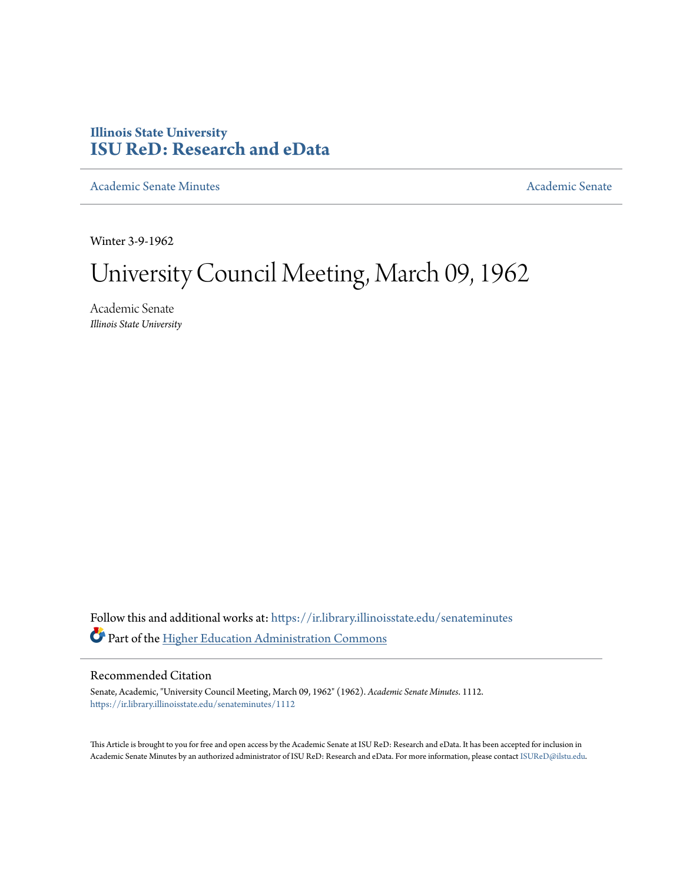# **Illinois State University [ISU ReD: Research and eData](https://ir.library.illinoisstate.edu?utm_source=ir.library.illinoisstate.edu%2Fsenateminutes%2F1112&utm_medium=PDF&utm_campaign=PDFCoverPages)**

[Academic Senate Minutes](https://ir.library.illinoisstate.edu/senateminutes?utm_source=ir.library.illinoisstate.edu%2Fsenateminutes%2F1112&utm_medium=PDF&utm_campaign=PDFCoverPages) [Academic Senate](https://ir.library.illinoisstate.edu/senate?utm_source=ir.library.illinoisstate.edu%2Fsenateminutes%2F1112&utm_medium=PDF&utm_campaign=PDFCoverPages) Academic Senate

Winter 3-9-1962

# University Council Meeting, March 09, 1962

Academic Senate *Illinois State University*

Follow this and additional works at: [https://ir.library.illinoisstate.edu/senateminutes](https://ir.library.illinoisstate.edu/senateminutes?utm_source=ir.library.illinoisstate.edu%2Fsenateminutes%2F1112&utm_medium=PDF&utm_campaign=PDFCoverPages) Part of the [Higher Education Administration Commons](http://network.bepress.com/hgg/discipline/791?utm_source=ir.library.illinoisstate.edu%2Fsenateminutes%2F1112&utm_medium=PDF&utm_campaign=PDFCoverPages)

### Recommended Citation

Senate, Academic, "University Council Meeting, March 09, 1962" (1962). *Academic Senate Minutes*. 1112. [https://ir.library.illinoisstate.edu/senateminutes/1112](https://ir.library.illinoisstate.edu/senateminutes/1112?utm_source=ir.library.illinoisstate.edu%2Fsenateminutes%2F1112&utm_medium=PDF&utm_campaign=PDFCoverPages)

This Article is brought to you for free and open access by the Academic Senate at ISU ReD: Research and eData. It has been accepted for inclusion in Academic Senate Minutes by an authorized administrator of ISU ReD: Research and eData. For more information, please contact [ISUReD@ilstu.edu.](mailto:ISUReD@ilstu.edu)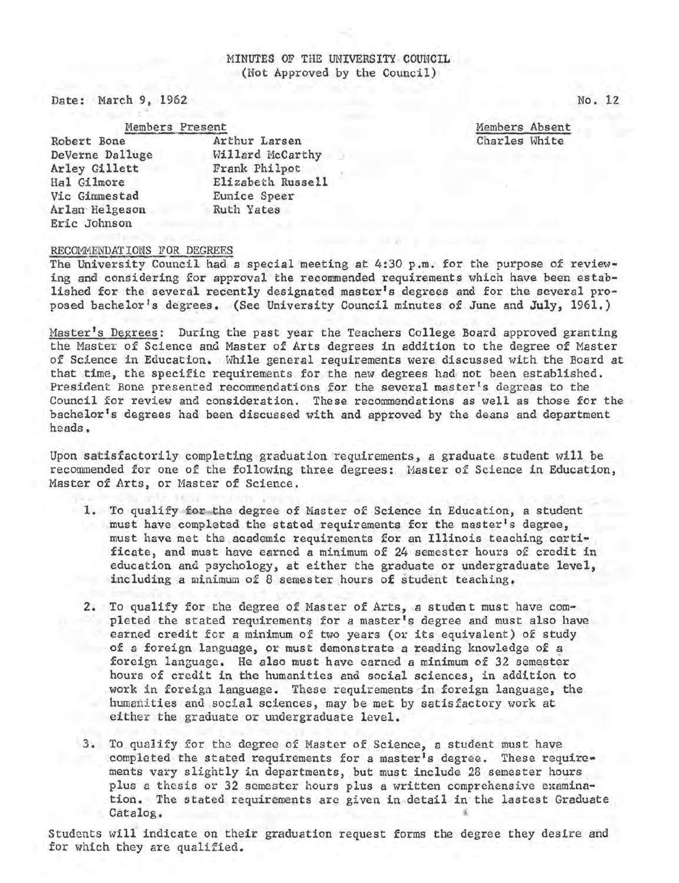## MINUTES OF THE UNIVERSITY COUNCIL (Not Approved by the Council)

Date: March 9, 1962

Members Present Robert Bone DeVerne Dalluge Arley Gillett Hal Gilmore Vic Gimmestad Arlan· Helgeson Eric Johnson Arthur Larsen Willard McCarthy Frank Philpot Elizabeth Russell Eunice Speer Ruth Yates

Members Absent Charles White

#### RECOMMENDATIONS FOR DEGREES

The University Council had a special meeting at 4:30 p.m. for the purpose of reviewing and considering for approval the recommended requirements which have been established for the several recently designated master's degrees and for the several proposed bachelor's degrees. (See University Council minutes of June and **July,** 1961.)

Master's Degrees: During the past year the Teachers College Board approved granting the Master of Science and Master of Arts degrees in addition to the degree of Master of Science in Education. While general requirements were discussed with the Board at that time, the specific requirements for the new degrees had not been established. President Bone presented recommendations for the several master's degrees to the Council for review and consideration. These recommendations as well as those for the bachelor's degrees had been discussed with and approved by the deans and department heads.

Upon satisfactorily completing graduation ·requirements, a graduate student will be recommended for one of the following three degrees: Master of Science in Education, Master of Arts, or Master of Science.

- **1.** To qualify for the degree of Master of Science in Education, a student must have completed the stated requirements for the master's degree, must have met the academic requirements for an Illinois teaching certificate, and must have earned a minimum of 24 semester hours of credit in education and psychology, at either the graduate or undergraduate level, including a minimum of 8 semester hours of student teaching.
- 2. To qualify for the degree of Master of Arts, a student must have completed the stated requirements for a master's degree and must also have earned credit for a minimum of two years (or its equivalent) of study of a foreign language, or must demonstrate a reading knowledge of a foreign language. He also must have earned a minimum of 32 semester hours of credit in the humanities and social sciences, in addition to work in foreign language. These requirements in foreign language, the humanities and social sciences, may be met by satisfactory work at either the graduate or undergraduate level.
- 3. To qualify for the degree of Master of Science, a student must have completed the stated requirements for a master's degree. These requirements vary slightly in departments, but must include 28 semester hours plus a thesis or 32 semester hours plus a written comprehensive examination. The stated requirements are given in detail in the lastest Graduate Catalog.

Students will indicate on their graduation request forms the degree they desire and for which they are qualified.

No. 12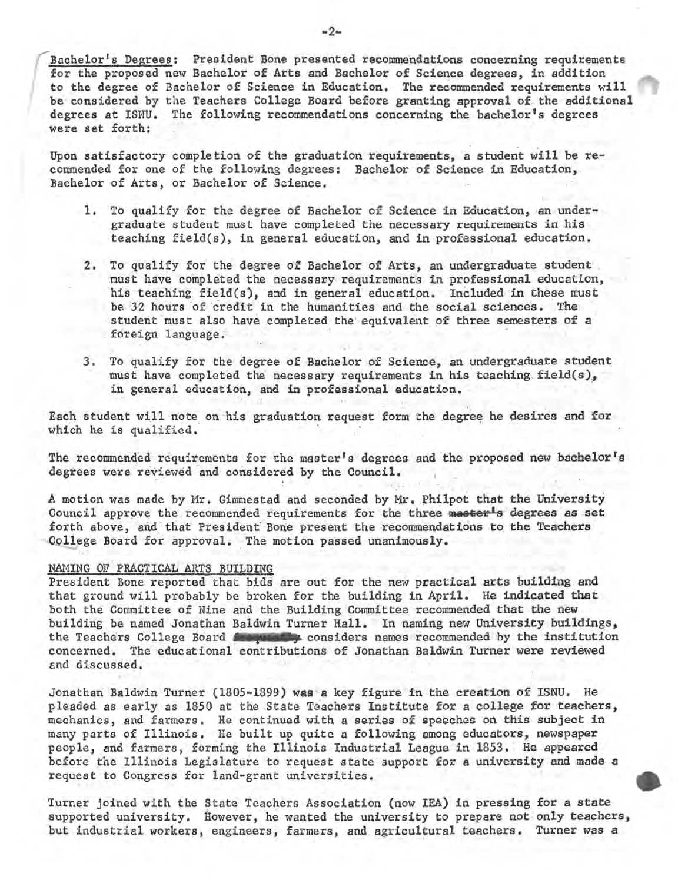Bachelor's Degrees: President Bone presented recommendations concerning requirements for the proposed new Bachelor of Arts and Bachelor of Science degrees, in addition<br>to the degree of Bachelor of Science in Education. The recommended requirements will<br>be considered by the Teachers College Board before gra degrees at ISNU. The following recommendations concerning the bachelor's degrees were set forth:

Upon satisfactory completion of the graduation requirements, a student will be recommended for one of the following degrees: Bachelor of Science in Education, Bachelor of Arts, or Bachelor of Science.

- 1. To qualify for the degree of Bachelor of Science in Education, an under• graduate student must have completed the necessary requirements in his teaching field(s), in general education, and in professional education.
- 2. To qualify for the degree of Bachelor of Arts, an undergraduate student must have completed the necessary requirements in professional education, his teaching field(s), and in general education. Included in these must be 32 hours of credit in the humanities and the social sciences. The student must also have completed the equivalent of three semesters of a foreign language.
- 3. To qualify for the degree of Bachelor of Science, an undergraduate student must have completed the necessary requirements in his teaching field(s), in general education, and in professional education.

Each student will note on his graduation request form the degree he desires and for which he is qualified.

The recommended requirements for the master's degrees and the proposed new bachelor's degrees were reviewed and considered by the Council.

A motion was made by Mr. Gimmestad and seconded by Mr. Philpot that the University Council approve the recommended requirements for the three mester<sup>1</sup>s degrees as set forth above, and that President Bone present the recommendations to the Teachers College Board for approval. The motion passed unanimously.

#### NAMING OF PRACTICAL ARTS BUILDING

President Bone reported that bids are out for the new practical arts building and that ground will probably be broken for the building in April. He indicated that both the Committee of Nine and the Building Committee recommended that the new building be named Jonathan Baldwin Turner Hall. In naming new University buildings, the Teachers College Board from the considers names recommended by the institution concerned. The educational contributions of Jonathan Baldwin Turner were reviewed and discussed.

Jonathan Baldwin Turner (1805-1899) **wsa a** key figure in the creation of ISNU. He pleaded as early as 1850 at the State Teachers Institute for a college for teachers, mechanics, and farmers. He continued with a series of speeches on this subject in many parts of Illinois, He built up quite a following among educators, newspaper people, and farmers, forming the Illinois Industrial League in 1853. He appeared before the Illinois Legislature to request state support for a university and made a request to Congress for land-grant universities.

Turner joined with the State Teachers Association (now IEA) in pressing for a state supported university. However, he wanted the university to prepare not only teachers, but industrial workers, engineers, farmers, and agricultural teachers. Turner was a